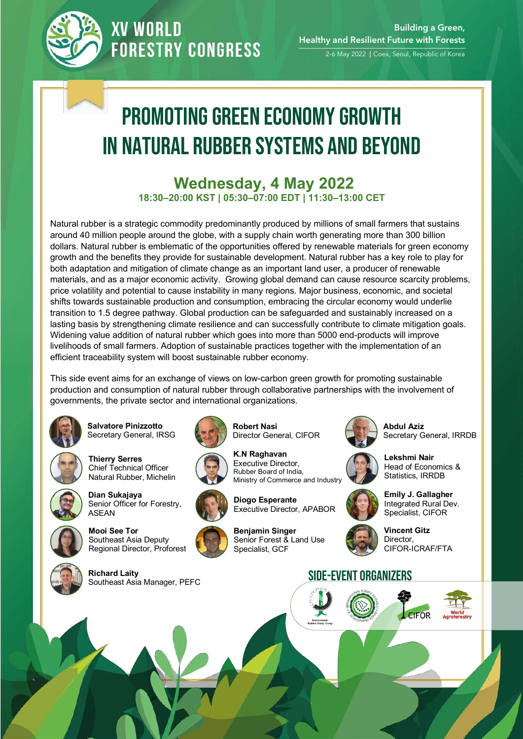

### **XV WORLD FORESTRY CONGRESS**

2-6 May 2022 | Coex, Seoul, Republic of Korea

# Promoting Green Economy Growth in Natural Rubber Systems and Beyond

#### **Wednesday, 4 May 2022 18:30–20:00 KST | 05:30–07:00 EDT | 11:30–13:00 CET**

Natural rubber is a strategic commodity predominantly produced by millions of small farmers that sustains around 40 million people around the globe, with a supply chain worth generating more than 300 billion dollars. Natural rubber is emblematic of the opportunities offered by renewable materials for green economy growth and the benefits they provide for sustainable development. Natural rubber has a key role to play for both adaptation and mitigation of climate change as an important land user, a producer of renewable materials, and as a major economic activity. Growing global demand can cause resource scarcity problems, price volatility and potential to cause instability in many regions. Major business, economic, and societal shifts towards sustainable production and consumption, embracing the circular economy would underlie transition to 1.5 degree pathway. Global production can be safeguarded and sustainably increased on a lasting basis by strengthening climate resilience and can successfully contribute to climate mitigation goals. Widening value addition of natural rubber which goes into more than 5000 end-products will improve livelihoods of small farmers. Adoption of sustainable practices together with the implementation of an efficient traceability system will boost sustainable rubber economy.

This side event aims for an exchange of views on low-carbon green growth for promoting sustainable production and consumption of natural rubber through collaborative partnerships with the involvement of governments, the private sector and international organizations.

**Robert Nasi** 



**Salvatore Pinizzotto** Secretary General, IRSG



**Thierry Serres** Chief Technical Officer Natural Rubber, Michelin



**Dian Sukajaya**  Senior Officer for Forestry,



**Mooi See Tor** Southeast Asia Deputy Regional Director, Proforest



**Richard Laity**







Director General, CIFOR





**Benjamin Singer**

Specialist, GCF



Senior Forest & Land Use



**Abdul Aziz**  Secretary General, IRRDB



**Lekshmi Nair**  Head of Economics & Statistics, IRRDB





**Vincent Gitz**  Director, CIFOR-ICRAF/FTA

#### SIDE-EVENT ORGANIZERS